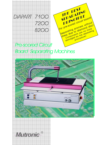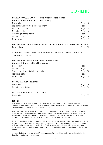# **CONTENTS**

### DIAPART 71OO/72OO Pre-scored Circuit Board cutter

| (for circuit boards with scribed panels) |      |   |
|------------------------------------------|------|---|
| Description                              | Page | 3 |
| Separating without stress on components  | Page | 4 |
| Manual Clamping                          | Page | 5 |
| Technical data                           | Page | 6 |
| Advantages of the system                 | Page |   |
| Technical data                           | Page | 8 |
| <b>Dimensions</b>                        | Page | 9 |

DIAPART 74OO Separating automatic machine (for circuit boards without slots) Description\* Page 10

\* Separate literature DIAPART 74OO with detailed information and technical data available on request.

### DIAPART 82OO Pre-scored Circuit Board cutter

| (for circuit boards with milled grooves) |         |             |
|------------------------------------------|---------|-------------|
| Description                              | Page 11 |             |
| Technical data                           | Page    | $\sqrt{12}$ |
| Scored circuit board design (variants)   | Page 13 |             |
| Technical data                           | Page 14 |             |
| <b>Dimensions</b>                        | Page    | -15         |

#### DIAVAC Exhaust Equipment

| Description            | Paae | - 16 |
|------------------------|------|------|
| Technical specialities | Page | - 16 |

#### ACCESSORIES DIAVAC 7200 / 8200

Description **Page 17** 

### Note:

Brochures and other information publications sometimes need updating, supplementing and correction after only a very short time, thanks to constant advances in the pace of new and further developments of products and machine options.

We have therefore decided to print most of our brochures ourselves. This enables us to provide speedy and constantly updated issues of requested information. We would, however, ask you to forgive the difference in printing quality when compared to high-gloss offset printing methods. You can also avail of information with high-resolution illustrations in the internet.

The machines illustrated in the pages of this brochure are mainly depicted with optional expansions. The price list contains further details relating to accessories and optional equipment. Please contact us if you feel you need further clarification. The illustrations of machines, options and accessories may deviate from the colour, shape and design, both technical and constructional, of the delivered goods.

You can find information on other Mutronic products (along with information on trade exhibitions) in the internet under: www.mutronic.de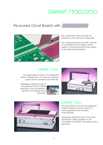# DIAPART 7100/720C

## Pre-scored Circuit Board's with *scribed panels*



PBC boards with scribed panels are divided by a thin diamond cutting disk.

The cutting procedure is smooth and free of unravelling. The cut edge is almost perfect. Components are not damaged by the stress-free procedure.

### DIAPART 71OO

The panel feed is manual. The respective scriber marking to be cut is laid on a special guide rail and centered automatically.



Subsequent sliding through of the panel permits the cutting operation to be completed in seconds. The residual dust is extracted.



## DIAPART 72OO

The panel feed is manual. The respective scriber marking to be cut is laid on a special quide rail and centered automatically.

Subsequent sliding through of the panel permits the cutting operation to be completed in seconds. The residual dust is extracted.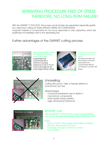# SEPARATING PROCEDURE FREE OF STRESS - THEREFORE, NO LONG-TERM FAILURE!

With the DIAPART 7100/7200, Pre-scored circuit boards are separated especially gentle by a diamond cutting-off wheel WITHOUT STRESS ON COMPONENTS! Long-term failures of components do not occur, especially to chip capacitors, which are positioned immediately next to the separating line.

## Further advantages of the DIAPART cutting process:



#### High packing density, thanks to component mounting close to the edge:

A guarantee that components with a minimum mounting clearance of only 0.15 mm to the outer edge remain undamaged during cutting!



#### Panels with components projecting beyond the edge:

The diamond disk cuts the panels in the safe area below the components without coming into contact with these.



## Unravelling:

Cutting with punch, roller or keyway systems is economical, but has

disadvantages:

- Functional breakdown due to fibres in mechanical components
- Hand injuries during insertion
- large dimensional tolerances



## Smooth cut!

With the DIAPART 71OO/72OO Pre-scored board separating saw, boards are separated precisely. Without setting-up costs!

#### Result:

- Clean, smooth cutting edges without fibres emerging
- Absolute, reproducible accuracy
- No danger of injuries to hands on contact
- No long fibres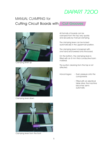# DIAPART 720C

# Cutting Circuit Boards with Cut Grooves MANUAL CLAMPING for



Clamping lever up



Clamping lever down



Clamping lever from the front

All formats of boards can be clamped from the top very quickly and securely by manual clamping.

The clamping lever can be locked automatically in the uppermost position.

The clamping lever is loosened with one hand and lowered onto the board.

On the bottom, the clamping lever is fitted with an 8 mm thick conductive foam material.

The suction cleaning from the top is not affected.

- Advantages: Even pressure onto the components
	- Fitted with an electrical table drive, the machine becomes semiautomatic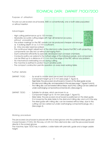# TECHNICAL DATA: DIAPART 7100/720

1 1 123456789012345678901234567890121234567890123456789012345678901212345678901 123456789012345678901234567890121234567890123456789012345678901212345678901 1 1

1 1 123456789012345678901234567890121234567890123456789012345678901212345678901 1 1 1 1 123456789012345678901234567890121234567890123456789012345678901212345678901 1 1 1 1 123456789012345678901234567890121234567890123456789012345678901212345678901 1 1 123456789012345678901234567890121234567890123456789012345678901212345678901 123456789012345678901234567890121234567890123456789012345678901212345678901 1 1 1 1 12345678901234567890123456789012345678901234567890123456789012345678901234567890023456789012345678901234567890 12345678901234567890123456789012345678901234567890123456789012345678901234567890123456789012345678901234567890 1 1 12345678901234567890123456789012345678901234567890123456789012345678901234567890123456789012345678901212345678

123456789012345678901234567890121234567890123456789012345678901212345678901 123456789012345678901234567890121234567890123456789012345678901212345678901 123456789012345678901234567890121234567890123456789012345678901212345678901 1 1 123456789012345678901234567890121234567890123456789012345678901212345678901 123456789012345678901234567890121234567890123456789012345678901212345678901 123456789012345678901234567890121234567890123456789012345678901212345678901 123456789012345678901234567890121234567890123456789012345678901212345678901 123456789012345678901234567890121234567890123456789012345678901212345678901 123456789012345678901234567890121234567890123456789012345678901212345678901 123456789012345678901234567890121234567890123456789012345678901212345678901 123456789012345678901234567890121234567890123456789012345678901212345678901

Purpose of utilisation:

For pre-cut, pre-scored circuit boards, SMD or conventionally, one or both sides populated  $\Box$ or without insertion

Advantages:

- 1 1 - High cutting performance up to 100 mm/sec. **The analysis of the contract of the second second second second second** 1 1
- Absolutely accurate cutting edges with high dimensional accuracy, **Alternative and State and Alternative accuracy** 123456789012345678901234567890121234567890123456789012345678901212345678901 1 1 12345678901234567890123456789012345678901234567890123456789012345678901234567890123456789012345678901212345678 1 1 without unravelling!
- The scriber markings on the PBC panels can be produced cheaper and stronger: **The Ranking** a) A scribing depth of ca. 0.3 mm is sufficient. The string string the string of the string of the string of the string of the string of the string of the string of the string of the string of the string of the string of t 123456789012345678901234567890121234567890123456789012345678901212345678901
	- 123456789012345678901234567890121234567890123456789012345678901212345678901 1 1 1 1 b) Only one side need be scribed.
- The continuous height adjustment of the diamond cutter means that PBC's with projecting  $\mathbb H$ 123456789012345678901234567890121234567890123456789012345678901212345678901 components can also be cut without damaging them. The thermal components can also be cut without damaging them.
- Dust is extracted efficiently by specially developed dust conveyer chambers.
- Conductor paths can extend to the furthest edge of the individual panels, and components can be fitted up to a distance of 0.3 mm from the edge of the PBC without any problem.  $\Box$ 123456789012345678901234567890121234567890123456789012345678901212345678901
- No mechanical overloading occurs during cutting. The final material contract the test of
- The machine is earthed to protect touch-sensitive parts. The content was contained in the
- The compact construction permits operation on every level working table. 123456789012345678901234567890121234567890123456789012345678901212345678901

Further details:

| DIAPART 7100:        | - for small to middle sized pre-scored circuit boards.                                                                                                                                                                                                                                                                                                                                                                                                                                               |
|----------------------|------------------------------------------------------------------------------------------------------------------------------------------------------------------------------------------------------------------------------------------------------------------------------------------------------------------------------------------------------------------------------------------------------------------------------------------------------------------------------------------------------|
|                      | Component height up to 5 mm (see page 7, figure 4).                                                                                                                                                                                                                                                                                                                                                                                                                                                  |
|                      | Rigid table: the pre-scored circuit board is moved on the steel guide across<br>the diamond milling disc and separated in this way (see page 7, figures 5 and 6).<br>- The milling disc can be lowered without steps; due to this, cutting can be carried out<br>under overhanging components (connectors etc.) (See page 5).                                                                                                                                                                        |
| <b>DIAPART 7200:</b> | Suitable for all sizes, which are known to us.<br>$\sim 10^{-1}$<br>Component height up to 18 mm (see page 7, figure 10).<br>$\blacksquare$<br>Slide table: the pre-scored circuit board is positioned on the steel guide.<br>$\sim 10$<br>It is moved by the slide table to the diamond milling disc and cut in this way.<br>- The steel guide with milling disc can be lowered without step; due to this<br>cutting can be carried out under overhanging components (plugs, etc.)<br>(See page 4). |

Working procedure:

The pre-scored circuit board is placed with the scored groove onto the polished steel guide and moved forward. (71OO). Din this way, a 0.25 mm thick diamond disc cuts the pre-scored board directly in the scored groove.

The machine, type 72OO has, in addition, a slide table with prismatic guide and a larger usable height.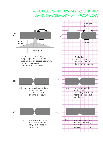## ADVANTAGES OF THE NEW PRE-SCORED BOARD SEPARATING SYSTEM DIAPART 7100/7200:

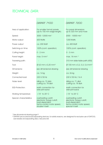## TECHNICAL DATA:

| DIAPART 7100 |  |
|--------------|--|
|--------------|--|

Area of application: For smaller format panels For panel dimensions (up to 150 mm edge length) up to 320 mm and more Speed: 3000 - 12000 min<sup>-1</sup> 2000 - 10000 min<sup>-1</sup>

Motor output: 600 Watts 1200 Watts

Power output ca. 200 Watt ca. 200 Watt ca. 400 Watt

Switching-on time: 100% (cont. operation) 100% (cont. operation)

Cutting height: 0 - 2 mm 0 - 3 mm

electronic torque cutoff,<br>
load-dependent<br>
load-dependent

cutting ca. 78 dbA

wrist joint band

DIAPART 7200

Panel height: max. 5 mm<sup>1)</sup> max. 18 mm<sup>1)</sup>

Traversing path: Traversing path:  $\frac{310}{2}$  mm slide table path (450)

Tool:  $\emptyset$  63 mm x 0,25 mm<sup>2</sup>  $\emptyset$  100 mm x 0,2, 0,3, 0,4 mm<sup>2</sup>

Dimensions: see dimensional drawing see dimensional drawing

Weight: Ca. 14 kg ca. 26 kg

Connected load: 230 V/ 50 Hz 230 V/ 50 Hz / 16 A

Noise level: idling ca. 72 dbA idling ca. 71 dbA<br>cutting ca. 78 dbA in cutting ca. 78 dbA

ESD-Protection: earth connection for earth connection for earth connection for earth connection for wrist ioint band

Working temperature:  $+15^{\circ}$  to  $25^{\circ}$  C  $+15^{\circ}$  to  $25^{\circ}$  C

Special characteristics: overheating cutoff, overheating cutoff, load-dependent tacho-control motor speed, tacho-control motor speed, special-V-belt

1) See dimensional drawing page 9

2) DIAPART-pre-scored board separating devices, for safety reasons, are designed for exclusive use of DIATOOL saw blades and separating discs. See price list.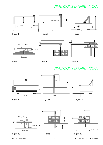# DIMENSIONS DIAPART 71OO:



## DIMENSIONS DIAPART 72OO:







Figure 7 Figure 8 Figure 9

 $\frac{1}{2}$ 



Figure 10 Figure 11 Figure 12

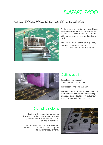# DIAPART 74OO

# Circuit board sepa-ration automatic device



For the manufacture of medium and large series in one ore more shift operation, we supply CNC-controlled automatic devices with manual or automatic feed and removal.

The DIAPART 74OO, based on a specially designed modular system, is manufactured to customer specification.



## Cutting quality

The cutting edge is perfect: Smooth and without fraying out

The precision of the cut is 0.05 mm.

The pre-scored circuit boards are separated by a thin diamond disc (Picture). The separating procedure is carried out smooth and without stress. Dust is sucked off at the same time.

## Clamping systems

Holding of the separated pre-scored board is carried out by vacuum (figure) or by mechanical devices for nutzen fitted on one or both sides.

Removing devices, automatic handling systems and pallet devices are designed to customer requirements.

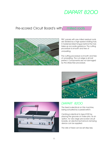# DIAPART 820C

## Pre-scored Circuit Board's with milled roots



PBC panels with pre-milled residual roots are divided by a high-speed rotating hob. A hardened steel tongue behind the hob takes up accurate guidance. The cutting procedure is smooth and free of unravelling.

The cutting procedure is smooth and free of unravelling. The cut edge is almost perfect. Components are not damaged by the stress-free procedure.





### DIAPART 82OO

The feed is electrical on this machine, being actuated by a pedal switch.

Centring is identical to type 8100 by placing the grooves on index pins. As an option, for very large pre-scored circuit boards, an electromechanical clamping device can be supplied.

The rate of feed can be set step less.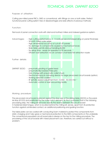## TECHNICAL DATA: DIAPART 82C

Purpose of utilisation:

Cutting pre-milled panel PBC's, SMD or conventional, with fittings on one or both sides. Perfect functional panel cutting system free of disadvantages and side-affects of previous methods.

### Function:

Removal of panel connection roots with diamond-toothed millers and indexed guidance system.

### Advantages: - High cutting performance, 2 - 5 roots per second (depending on panel thickness) - Smooth milled outer edge

- High dimensional accuracy of cut-off LTP panels
- No damage to components caused by mechanical forces
- Slide table permits rational handling (8200)
- No setup time ready for operation in 30 seconds
- Efficient dust extraction via air conveyor chambers flat extraction nozzle

Further details:

DIAPART 82OO: - pneumatic pivoting of guide head

- pneumatically lowered index pins
- Hob change with pneumatic collet chuck
- Electromechanical clamping device for large pre-scored circuit boards (option)
- Working area ESD coated
- SF spindle, speed adjustment from 10.000 50.000 min -1
- Automatic control of dust vacuuming facility

Working procedure:

The pre-scored circuit board is placed against the stop ruler of the sliding table (82OO) or the parallel stop (81OO) and positioned by the index notch element. By this it is ensured that in the following processing step, the milling bit removes exactly the seams between the circuit board! A hardened steel tongue, which is located behind the milling bit, serves, apart from its protective function against unintended contact, an additional positioning and guiding function.

The table plate can be coated with conducting foam material to protect the components from static charging and it also gives a mechanical protection to the SMD-components on the underside. The conventional populated circuit board side is always on the top for the milling procedure. The processing of the circuit boards with mixed placement can, therefore, be carried out without a problem.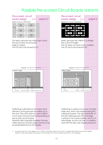# Possible Pre-scored Circuit Boards Variants



We recommend for new designs, as a matter of principle, take into account a straight pre-scored circuit board design (variant A) with free phased out grooves on both sides of the circuit boards (as shown on the drawing)!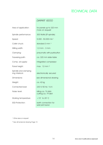## TECHNICAL DATA

### DIAPART 82OO

| Area of application:                    | for panels up to 320 mm<br>more on request |
|-----------------------------------------|--------------------------------------------|
| Spindle performance:                    | 300 Watts (SF spindle)                     |
| Speed:                                  | $5.000 - 50.000$ min <sup>-1</sup>         |
| Collet chuck:                           | standard $3 \text{ mm}$ <sup>1)</sup>      |
| Milling width:                          | $1,0$ mm $-3$ mm                           |
| Clamping:                               | pneumatic with pushbutton                  |
| Traversing path:                        | ca. 320 mm slide table                     |
| Comp. air supply:                       | integrated compressor                      |
| Panel height:                           | max. 12 mm $^{2}$                          |
| Spindle and clamping<br>ring interlock: | electronically secured                     |
| Dimensions:                             | see dimensional drawing                    |
| Weight:                                 | ca. 42 kg                                  |
| Connected load:                         | 230 V/ 50 Hz / 16 A                        |
| Noise level:                            | idling ca. 74 dbA<br>cutting ca. 79 dbA    |
| Working temperature:                    | $+15^{\circ}$ to 25° C                     |
| <b>ESD-Protection:</b>                  | earth connection for<br>wrist joint band   |

1) Other sizes on request

2) See dimensional drawing Page 15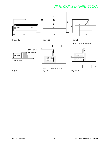# DIMENSIONS DIAPART 82OO:

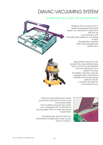# DIAVAC-VACUUMING SYSTEM

### Benefits both your health and the environment

Materials which produce fine or health-endangering dust should always be machined in conjunction with the use of an extraction unit. This particularly applies to machining of fibrestrengthened materials (PCB's, fibre-strengthened plastics etc.)



Using DIAVAC extraction units prevents fine dust particles being blown out into the atmosphere. Not every extraction unit is suited to this task. The DIAVAC extraction units are equipped with a special fine dust filter and thus guarantee optimum results. A socket is provided for connecting the unit.





Chips and dust particles are picked up and removed by the air flow of the vacuuming facility. This is possible, because the suction arm is equipped with an efficient air ducting system with an extremely narrow nozzle head.

Simultaneously, also the dust from underneath the table plate is also sucked off via a Y-branch.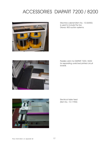# ACCESSORIES DIAPART 7200 / 8200



Machine cabinet (Item No.: 10.06550) is used to include the two Diavac 800 suction systems.



Parallel catch for DIAPART 7200 / 8200 for separating unetched printed circuit boards.



Electrical table feed (Item No.: 10.11900)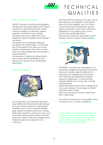

# **TECHNICAL** Q U A L I T I E S

### Drive mechanism and safety

DIADISC precision machines are equipped with special high-speed balanced motors to maintain an universal and broad speed range as possible. An electronic speed regulator controls the motor spindle. The respective load is determined and additional output is readied automatically if necessary.

The speed can be steplessly adjusted throughout the entire range. It is characteristic of the speed that it does not remain entirely constant when the motor is under load, but rather adapts itself accordingly in critical situations.

The tendency of drills and milling hobs to block (along with the possibility of tool fracture as a result) is thus considerably reduced.

#### Material and quality



The construction and assembly elements used (milled and turned parts, ball bearings, etc.) are made exclusively of high-quality materials, such as non-corrosive stainless steel, special anodised aluminium or brass. Particularly important construction parts, such as chassis, bearing seats, pulleys and drive shafts are made of solid raw material turned, milled and ground on precision CNC machines.

Punched and bent parts are not used, due to their tolerance and stability characteristics. Parts from other suppliers, such as motors, control electronics and bearings, are produced exclusively in Germany, Austria and Switzerland in accordance with our production and quality stipulations. This ensures a long-term guarantee of both precision and the supply of spare parts.

#### Development and production



All DIADISC machines are developed in our production facilities and brought to their final technical maturity under the direction of engineers and experienced technicians. The machines are designed for lengthy periods of application, constructed with suitable stability and comply with currently valid standards.

Newly developed options are so designed as to be also suitable in most cases for retrofitting older serial models.

Machines and options are thus useful longterm investments.

The entire final production and quality control is carried out at our works in Rieden.

Further options and detailed information are contained in the separate price list. Please make enquiries in advance with regard to prices in the event of placing an order, as these can be subject to change.